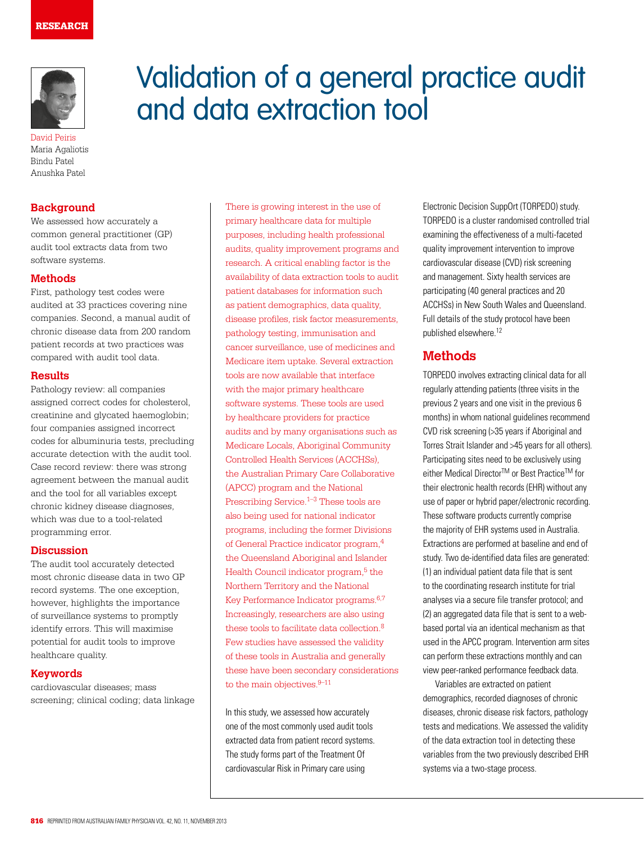

David Peiris Maria Agaliotis Bindu Patel Anushka Patel

## **Background**

We assessed how accurately a common general practitioner (GP) audit tool extracts data from two software systems.

### **Methods**

First, pathology test codes were audited at 33 practices covering nine companies. Second, a manual audit of chronic disease data from 200 random patient records at two practices was compared with audit tool data.

#### **Results**

Pathology review: all companies assigned correct codes for cholesterol, creatinine and glycated haemoglobin; four companies assigned incorrect codes for albuminuria tests, precluding accurate detection with the audit tool. Case record review: there was strong agreement between the manual audit and the tool for all variables except chronic kidney disease diagnoses, which was due to a tool-related programming error.

### **Discussion**

The audit tool accurately detected most chronic disease data in two GP record systems. The one exception, however, highlights the importance of surveillance systems to promptly identify errors. This will maximise potential for audit tools to improve healthcare quality.

#### **Keywords**

cardiovascular diseases; mass screening; clinical coding; data linkage

# Validation of a general practice audit and data extraction tool

There is growing interest in the use of primary healthcare data for multiple purposes, including health professional audits, quality improvement programs and research. A critical enabling factor is the availability of data extraction tools to audit patient databases for information such as patient demographics, data quality, disease profiles, risk factor measurements, pathology testing, immunisation and cancer surveillance, use of medicines and Medicare item uptake. Several extraction tools are now available that interface with the major primary healthcare software systems. These tools are used by healthcare providers for practice audits and by many organisations such as Medicare Locals, Aboriginal Community Controlled Health Services (ACCHSs), the Australian Primary Care Collaborative (APCC) program and the National Prescribing Service.<sup>1–3</sup> These tools are also being used for national indicator programs, including the former Divisions of General Practice indicator program,4 the Queensland Aboriginal and Islander Health Council indicator program, $5$  the Northern Territory and the National Key Performance Indicator programs.6,7 Increasingly, researchers are also using these tools to facilitate data collection.<sup>8</sup> Few studies have assessed the validity of these tools in Australia and generally these have been secondary considerations to the main objectives. $9-11$ 

In this study, we assessed how accurately one of the most commonly used audit tools extracted data from patient record systems. The study forms part of the Treatment Of cardiovascular Risk in Primary care using

Electronic Decision SuppOrt (TORPEDO) study. TORPEDO is a cluster randomised controlled trial examining the effectiveness of a multi-faceted quality improvement intervention to improve cardiovascular disease (CVD) risk screening and management. Sixty health services are participating (40 general practices and 20 ACCHSs) in New South Wales and Queensland. Full details of the study protocol have been published elsewhere.12

# **Methods**

TORPEDO involves extracting clinical data for all regularly attending patients (three visits in the previous 2 years and one visit in the previous 6 months) in whom national guidelines recommend CVD risk screening (>35 years if Aboriginal and Torres Strait Islander and >45 years for all others). Participating sites need to be exclusively using either Medical Director<sup>™</sup> or Best Practice<sup>™</sup> for their electronic health records (EHR) without any use of paper or hybrid paper/electronic recording. These software products currently comprise the majority of EHR systems used in Australia. Extractions are performed at baseline and end of study. Two de-identified data files are generated: (1) an individual patient data file that is sent to the coordinating research institute for trial analyses via a secure file transfer protocol; and (2) an aggregated data file that is sent to a webbased portal via an identical mechanism as that used in the APCC program. Intervention arm sites can perform these extractions monthly and can view peer-ranked performance feedback data.

Variables are extracted on patient demographics, recorded diagnoses of chronic diseases, chronic disease risk factors, pathology tests and medications. We assessed the validity of the data extraction tool in detecting these variables from the two previously described EHR systems via a two-stage process.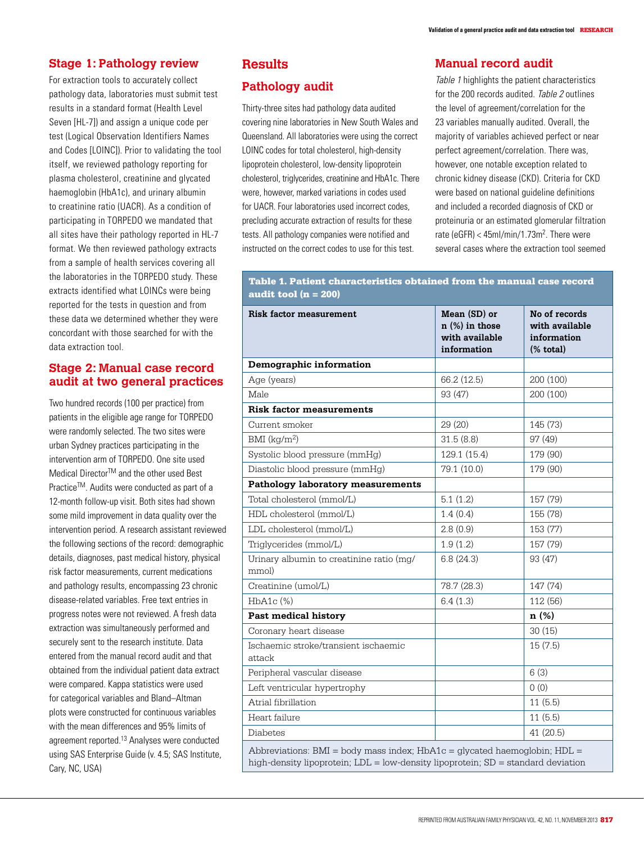## **Stage 1: Pathology review**

For extraction tools to accurately collect pathology data, laboratories must submit test results in a standard format (Health Level Seven [HL-7]) and assign a unique code per test (Logical Observation Identifiers Names and Codes [LOINC]). Prior to validating the tool itself, we reviewed pathology reporting for plasma cholesterol, creatinine and glycated haemoglobin (HbA1c), and urinary albumin to creatinine ratio (UACR). As a condition of participating in TORPEDO we mandated that all sites have their pathology reported in HL-7 format. We then reviewed pathology extracts from a sample of health services covering all the laboratories in the TORPEDO study. These extracts identified what LOINCs were being reported for the tests in question and from these data we determined whether they were concordant with those searched for with the data extraction tool.

## **Stage 2: Manual case record audit at two general practices**

Two hundred records (100 per practice) from patients in the eligible age range for TORPEDO were randomly selected. The two sites were urban Sydney practices participating in the intervention arm of TORPEDO. One site used Medical Director<sup>™</sup> and the other used Best Practice™. Audits were conducted as part of a 12-month follow-up visit. Both sites had shown some mild improvement in data quality over the intervention period. A research assistant reviewed the following sections of the record: demographic details, diagnoses, past medical history, physical risk factor measurements, current medications and pathology results, encompassing 23 chronic disease-related variables. Free text entries in progress notes were not reviewed. A fresh data extraction was simultaneously performed and securely sent to the research institute. Data entered from the manual record audit and that obtained from the individual patient data extract were compared. Kappa statistics were used for categorical variables and Bland–Altman plots were constructed for continuous variables with the mean differences and 95% limits of agreement reported.13 Analyses were conducted using SAS Enterprise Guide (v. 4.5; SAS Institute, Cary, NC, USA)

# **Results**

# **Pathology audit**

Thirty-three sites had pathology data audited covering nine laboratories in New South Wales and Queensland. All laboratories were using the correct LOINC codes for total cholesterol, high-density lipoprotein cholesterol, low-density lipoprotein cholesterol, triglycerides, creatinine and HbA1c. There were, however, marked variations in codes used for UACR. Four laboratories used incorrect codes, precluding accurate extraction of results for these tests. All pathology companies were notified and instructed on the correct codes to use for this test.

## **Manual record audit**

Table 1 highlights the patient characteristics for the 200 records audited. Table 2 outlines the level of agreement/correlation for the 23 variables manually audited. Overall, the majority of variables achieved perfect or near perfect agreement/correlation. There was, however, one notable exception related to chronic kidney disease (CKD). Criteria for CKD were based on national quideline definitions and included a recorded diagnosis of CKD or proteinuria or an estimated glomerular filtration rate (eGFR) < 45ml/min/1.73m<sup>2</sup>. There were several cases where the extraction tool seemed

## Table 1. Patient characteristics obtained from the manual case record audit tool  $(n = 200)$

| <b>Risk factor measurement</b>                                                                                                                                           | Mean (SD) or<br>$n$ (%) in those<br>with available<br>information | No of records<br>with available<br>information<br>$%$ total) |  |
|--------------------------------------------------------------------------------------------------------------------------------------------------------------------------|-------------------------------------------------------------------|--------------------------------------------------------------|--|
| Demographic information                                                                                                                                                  |                                                                   |                                                              |  |
| Age (years)                                                                                                                                                              | 66.2 (12.5)                                                       | 200 (100)                                                    |  |
| Male                                                                                                                                                                     | 93 (47)                                                           | 200 (100)                                                    |  |
| <b>Risk factor measurements</b>                                                                                                                                          |                                                                   |                                                              |  |
| Current smoker                                                                                                                                                           | 29 (20)                                                           | 145 (73)                                                     |  |
| $BMI$ (kg/m <sup>2</sup> )                                                                                                                                               | 31.5(8.8)                                                         | 97 (49)                                                      |  |
| Systolic blood pressure (mmHg)                                                                                                                                           | 129.1 (15.4)                                                      | 179 (90)                                                     |  |
| Diastolic blood pressure (mmHg)                                                                                                                                          | 79.1 (10.0)                                                       | 179 (90)                                                     |  |
| Pathology laboratory measurements                                                                                                                                        |                                                                   |                                                              |  |
| Total cholesterol (mmol/L)                                                                                                                                               | 5.1(1.2)                                                          | 157 (79)                                                     |  |
| HDL cholesterol (mmol/L)                                                                                                                                                 | 1.4(0.4)                                                          | 155 (78)                                                     |  |
| LDL cholesterol (mmol/L)                                                                                                                                                 | 2.8(0.9)                                                          | 153 (77)                                                     |  |
| Triglycerides (mmol/L)                                                                                                                                                   | 1.9(1.2)                                                          | 157 (79)                                                     |  |
| Urinary albumin to creatinine ratio (mg/<br>mmol)                                                                                                                        | 6.8(24.3)                                                         | 93 (47)                                                      |  |
| Creatinine (umol/L)                                                                                                                                                      | 78.7 (28.3)                                                       | 147 (74)                                                     |  |
| $HbA1c$ $(\% )$                                                                                                                                                          | 6.4(1.3)                                                          | 112 (56)                                                     |  |
| <b>Past medical history</b>                                                                                                                                              |                                                                   | n (%)                                                        |  |
| Coronary heart disease                                                                                                                                                   |                                                                   | 30(15)                                                       |  |
| Ischaemic stroke/transient ischaemic<br>attack                                                                                                                           |                                                                   | 15(7.5)                                                      |  |
| Peripheral vascular disease                                                                                                                                              |                                                                   | 6(3)                                                         |  |
| Left ventricular hypertrophy                                                                                                                                             |                                                                   | 0(0)                                                         |  |
| Atrial fibrillation                                                                                                                                                      |                                                                   | 11(5.5)                                                      |  |
| Heart failure                                                                                                                                                            |                                                                   | 11(5.5)                                                      |  |
| <b>Diabetes</b>                                                                                                                                                          |                                                                   | 41 (20.5)                                                    |  |
| Abbreviations: $BMI = body$ mass index; $HDA1c = glycated$ haemoglobin; $HDL =$<br>high-density lipoprotein; $LDL = low$ -density lipoprotein; $SD = standard deviation$ |                                                                   |                                                              |  |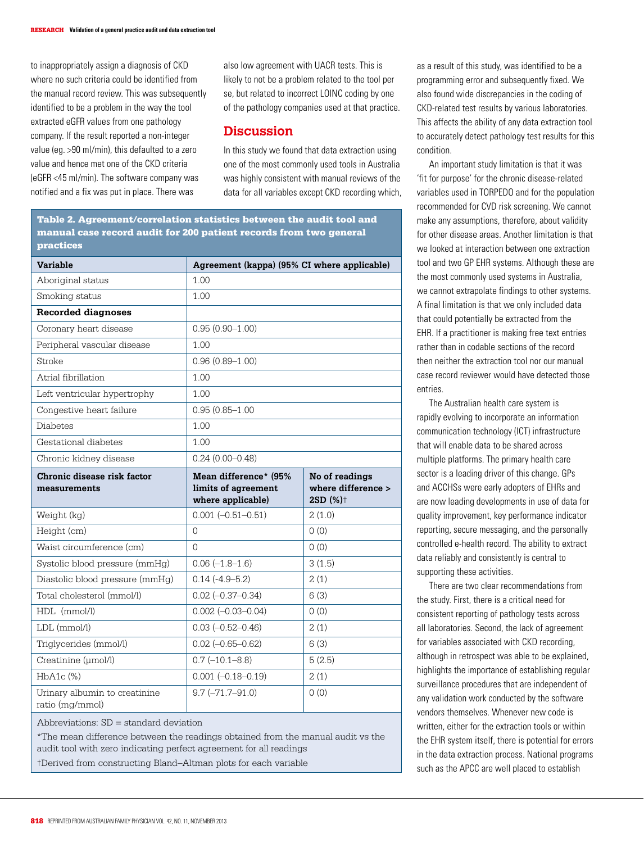to inappropriately assign a diagnosis of CKD where no such criteria could be identified from the manual record review. This was subsequently identified to be a problem in the way the tool extracted eGFR values from one pathology company. If the result reported a non-integer value (eg. >90 ml/min), this defaulted to a zero value and hence met one of the CKD criteria (eGFR <45 ml/min). The software company was notified and a fix was put in place. There was

also low agreement with UACR tests. This is likely to not be a problem related to the tool per se, but related to incorrect LOINC coding by one of the pathology companies used at that practice.

## **Discussion**

In this study we found that data extraction using one of the most commonly used tools in Australia was highly consistent with manual reviews of the data for all variables except CKD recording which,

Table 2. Agreement/correlation statistics between the audit tool and manual case record audit for 200 patient records from two general practices

| <b>Variable</b>                                  | Agreement (kappa) (95% CI where applicable)                       |                                                              |  |
|--------------------------------------------------|-------------------------------------------------------------------|--------------------------------------------------------------|--|
| Aboriginal status                                | 1.00                                                              |                                                              |  |
| Smoking status                                   | 1.00                                                              |                                                              |  |
| <b>Recorded diagnoses</b>                        |                                                                   |                                                              |  |
| Coronary heart disease                           | $0.95(0.90 - 1.00)$                                               |                                                              |  |
| Peripheral vascular disease                      | 1.00                                                              |                                                              |  |
| Stroke                                           | $0.96(0.89 - 1.00)$                                               |                                                              |  |
| Atrial fibrillation                              | 1.00                                                              |                                                              |  |
| Left ventricular hypertrophy                     | 1.00                                                              |                                                              |  |
| Congestive heart failure                         | $0.95(0.85 - 1.00)$                                               |                                                              |  |
| <b>Diabetes</b>                                  | 1.00                                                              |                                                              |  |
| Gestational diabetes                             | 1.00                                                              |                                                              |  |
| Chronic kidney disease                           | $0.24(0.00 - 0.48)$                                               |                                                              |  |
| Chronic disease risk factor<br>measurements      | Mean difference* (95%<br>limits of agreement<br>where applicable) | No of readings<br>where difference ><br>2SD (%) <sup>+</sup> |  |
| Weight (kg)                                      | $0.001 (-0.51 - 0.51)$                                            | 2(1.0)                                                       |  |
| Height (cm)                                      | $\Omega$                                                          | (0)                                                          |  |
| Waist circumference (cm)                         | $\Omega$                                                          | 0(0)                                                         |  |
| Systolic blood pressure (mmHg)                   | $0.06(-1.8-1.6)$                                                  | 3(1.5)                                                       |  |
| Diastolic blood pressure (mmHg)                  | $0.14(-4.9 - 5.2)$                                                | 2(1)                                                         |  |
| Total cholesterol (mmol/l)                       | $0.02 (-0.37 - 0.34)$                                             | 6(3)                                                         |  |
| HDL (mmol/l)                                     | $0.002 (-0.03 - 0.04)$                                            | 0(0)                                                         |  |
| LDL (mmol/l)                                     | $0.03 (-0.52 - 0.46)$                                             | 2(1)                                                         |  |
| Triglycerides (mmol/l)                           | $0.02 (-0.65 - 0.62)$                                             | 6(3)                                                         |  |
| Creatinine (umol/l)                              | $0.7$ (-10.1-8.8)                                                 | 5(2.5)                                                       |  |
| $HbA1c$ $%$                                      | $0.001 (-0.18 - 0.19)$                                            | 2(1)                                                         |  |
| Urinary albumin to creatinine<br>ratio (mg/mmol) | $9.7 (-71.7 - 91.0)$                                              | 0(0)                                                         |  |

Abbreviations: SD = standard deviation

\*The mean difference between the readings obtained from the manual audit vs the audit tool with zero indicating perfect agreement for all readings †Derived from constructing Bland–Altman plots for each variable

as a result of this study, was identified to be a programming error and subsequently fixed. We also found wide discrepancies in the coding of CKD-related test results by various laboratories. This affects the ability of any data extraction tool to accurately detect pathology test results for this condition.

An important study limitation is that it was 'fit for purpose' for the chronic disease-related variables used in TORPEDO and for the population recommended for CVD risk screening. We cannot make any assumptions, therefore, about validity for other disease areas. Another limitation is that we looked at interaction between one extraction tool and two GP EHR systems. Although these are the most commonly used systems in Australia, we cannot extrapolate findings to other systems. A final limitation is that we only included data that could potentially be extracted from the EHR. If a practitioner is making free text entries rather than in codable sections of the record then neither the extraction tool nor our manual case record reviewer would have detected those entries.

The Australian health care system is rapidly evolving to incorporate an information communication technology (ICT) infrastructure that will enable data to be shared across multiple platforms. The primary health care sector is a leading driver of this change. GPs and ACCHSs were early adopters of EHRs and are now leading developments in use of data for quality improvement, key performance indicator reporting, secure messaging, and the personally controlled e-health record. The ability to extract data reliably and consistently is central to supporting these activities.

There are two clear recommendations from the study. First, there is a critical need for consistent reporting of pathology tests across all laboratories. Second, the lack of agreement for variables associated with CKD recording, although in retrospect was able to be explained, highlights the importance of establishing regular surveillance procedures that are independent of any validation work conducted by the software vendors themselves. Whenever new code is written, either for the extraction tools or within the EHR system itself, there is potential for errors in the data extraction process. National programs such as the APCC are well placed to establish